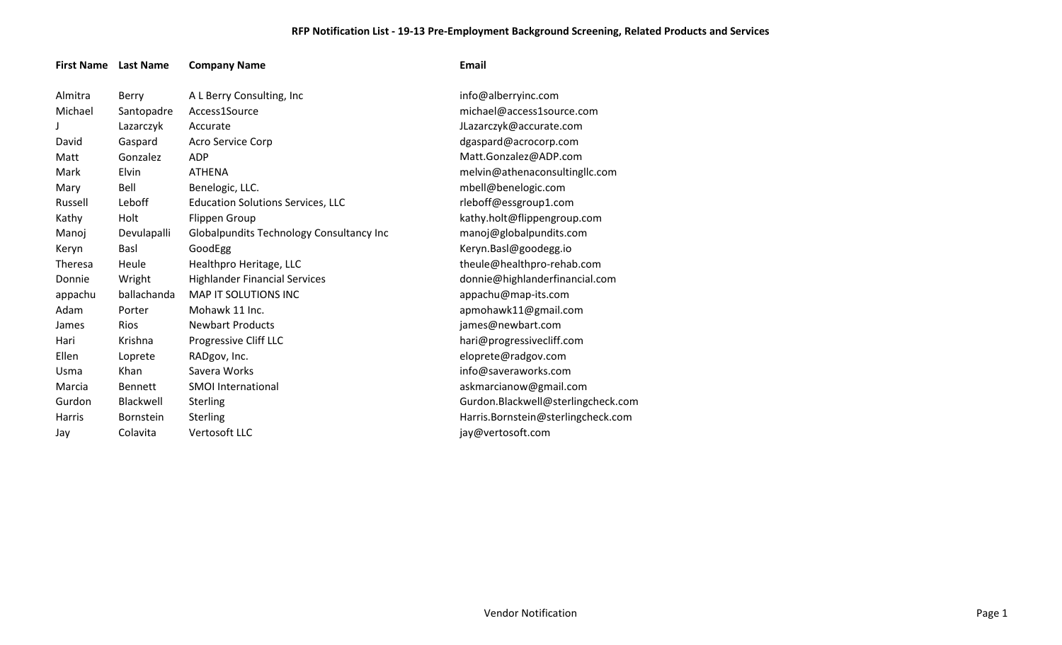## **RFP Notification List - 19-13 Pre-Employment Background Screening, Related Products and Services**

| <b>First Name</b> Last Name |                  | <b>Company Name</b>                      | Email                              |
|-----------------------------|------------------|------------------------------------------|------------------------------------|
| Almitra                     | Berry            | A L Berry Consulting, Inc                | info@alberryinc.com                |
| Michael                     | Santopadre       | Access1Source                            | michael@access1source.com          |
|                             | Lazarczyk        | Accurate                                 | JLazarczyk@accurate.com            |
| David                       | Gaspard          | Acro Service Corp                        | dgaspard@acrocorp.com              |
| Matt                        | Gonzalez         | <b>ADP</b>                               | Matt.Gonzalez@ADP.com              |
| Mark                        | Elvin            | <b>ATHENA</b>                            | melvin@athenaconsultingllc.com     |
| Mary                        | Bell             | Benelogic, LLC.                          | mbell@benelogic.com                |
| Russell                     | Leboff           | <b>Education Solutions Services, LLC</b> | rleboff@essgroup1.com              |
| Kathy                       | Holt             | <b>Flippen Group</b>                     | kathy.holt@flippengroup.com        |
| Manoj                       | Devulapalli      | Globalpundits Technology Consultancy Inc | manoj@globalpundits.com            |
| Keryn                       | Basl             | GoodEgg                                  | Keryn.Basl@goodegg.io              |
| Theresa                     | Heule            | Healthpro Heritage, LLC                  | theule@healthpro-rehab.com         |
| Donnie                      | Wright           | <b>Highlander Financial Services</b>     | donnie@highlanderfinancial.com     |
| appachu                     | ballachanda      | <b>MAP IT SOLUTIONS INC</b>              | appachu@map-its.com                |
| Adam                        | Porter           | Mohawk 11 Inc.                           | apmohawk11@gmail.com               |
| James                       | <b>Rios</b>      | <b>Newbart Products</b>                  | james@newbart.com                  |
| Hari                        | Krishna          | Progressive Cliff LLC                    | hari@progressivecliff.com          |
| Ellen                       | Loprete          | RADgov, Inc.                             | eloprete@radgov.com                |
| Usma                        | Khan             | Savera Works                             | info@saveraworks.com               |
| Marcia                      | <b>Bennett</b>   | <b>SMOI</b> International                | askmarcianow@gmail.com             |
| Gurdon                      | Blackwell        | <b>Sterling</b>                          | Gurdon.Blackwell@sterlingcheck.com |
| <b>Harris</b>               | <b>Bornstein</b> | <b>Sterling</b>                          | Harris.Bornstein@sterlingcheck.com |
| Jay                         | Colavita         | <b>Vertosoft LLC</b>                     | jay@vertosoft.com                  |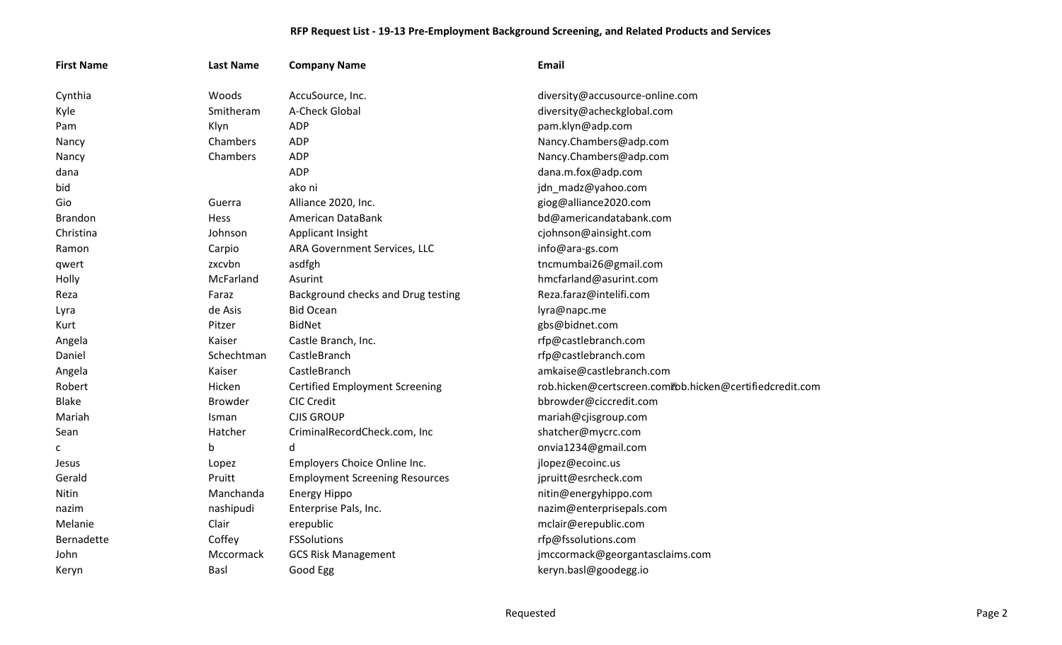## **RFP Request List - 19-13 Pre-Employment Background Screening, and Related Products and Services**

| <b>First Name</b> | <b>Last Name</b> | <b>Company Name</b>                   | <b>Email</b>                                            |
|-------------------|------------------|---------------------------------------|---------------------------------------------------------|
| Cynthia           | Woods            | AccuSource, Inc.                      | diversity@accusource-online.com                         |
| Kyle              | Smitheram        | A-Check Global                        | diversity@acheckglobal.com                              |
| Pam               | Klyn             | <b>ADP</b>                            | pam.klyn@adp.com                                        |
| Nancy             | Chambers         | <b>ADP</b>                            | Nancy.Chambers@adp.com                                  |
| Nancy             | Chambers         | <b>ADP</b>                            | Nancy.Chambers@adp.com                                  |
| dana              |                  | <b>ADP</b>                            | dana.m.fox@adp.com                                      |
| bid               |                  | ako ni                                | jdn_madz@yahoo.com                                      |
| Gio               | Guerra           | Alliance 2020, Inc.                   | giog@alliance2020.com                                   |
| <b>Brandon</b>    | <b>Hess</b>      | American DataBank                     | bd@americandatabank.com                                 |
| Christina         | Johnson          | Applicant Insight                     | cjohnson@ainsight.com                                   |
| Ramon             | Carpio           | ARA Government Services, LLC          | info@ara-gs.com                                         |
| qwert             | zxcvbn           | asdfgh                                | tncmumbai26@gmail.com                                   |
| Holly             | McFarland        | Asurint                               | hmcfarland@asurint.com                                  |
| Reza              | Faraz            | Background checks and Drug testing    | Reza.faraz@intelifi.com                                 |
| Lyra              | de Asis          | <b>Bid Ocean</b>                      | lyra@napc.me                                            |
| Kurt              | Pitzer           | <b>BidNet</b>                         | gbs@bidnet.com                                          |
| Angela            | Kaiser           | Castle Branch, Inc.                   | rfp@castlebranch.com                                    |
| Daniel            | Schechtman       | CastleBranch                          | rfp@castlebranch.com                                    |
| Angela            | Kaiser           | CastleBranch                          | amkaise@castlebranch.com                                |
| Robert            | Hicken           | <b>Certified Employment Screening</b> | rob.hicken@certscreen.com@bb.hicken@certifiedcredit.com |
| <b>Blake</b>      | <b>Browder</b>   | <b>CIC Credit</b>                     | bbrowder@ciccredit.com                                  |
| Mariah            | Isman            | <b>CJIS GROUP</b>                     | mariah@cjisgroup.com                                    |
| Sean              | Hatcher          | CriminalRecordCheck.com, Inc          | shatcher@mycrc.com                                      |
| c                 | b                | d                                     | onvia1234@gmail.com                                     |
| Jesus             | Lopez            | Employers Choice Online Inc.          | jlopez@ecoinc.us                                        |
| Gerald            | Pruitt           | <b>Employment Screening Resources</b> | jpruitt@esrcheck.com                                    |
| Nitin             | Manchanda        | <b>Energy Hippo</b>                   | nitin@energyhippo.com                                   |
| nazim             | nashipudi        | Enterprise Pals, Inc.                 | nazim@enterprisepals.com                                |
| Melanie           | Clair            | erepublic                             | mclair@erepublic.com                                    |
| Bernadette        | Coffey           | <b>FSSolutions</b>                    | rfp@fssolutions.com                                     |
| John              | Mccormack        | <b>GCS Risk Management</b>            | jmccormack@georgantasclaims.com                         |
| Keryn             | Basl             | Good Egg                              | keryn.basl@goodegg.io                                   |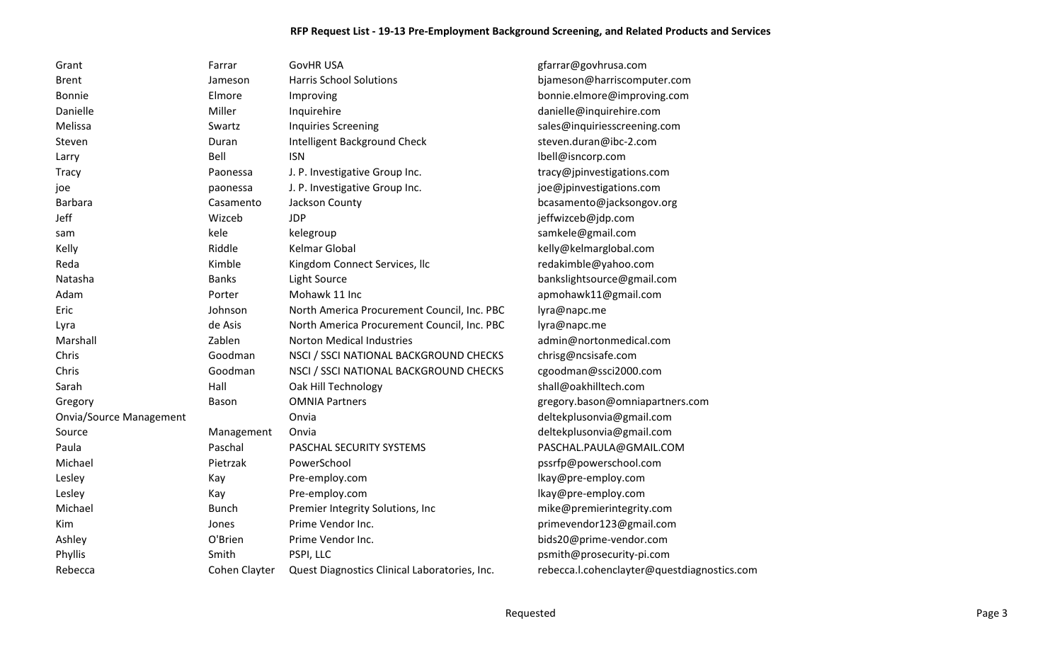## **RFP Request List - 19-13 Pre-Employment Background Screening, and Related Products and Services**

| Grant                          | Farrar        | <b>GovHR USA</b>                              | gfarrar@govhrusa.com                        |
|--------------------------------|---------------|-----------------------------------------------|---------------------------------------------|
| <b>Brent</b>                   | Jameson       | <b>Harris School Solutions</b>                | bjameson@harriscomputer.com                 |
| <b>Bonnie</b>                  | Elmore        | Improving                                     | bonnie.elmore@improving.com                 |
| Danielle                       | Miller        | Inquirehire                                   | danielle@inquirehire.com                    |
| Melissa                        | Swartz        | <b>Inquiries Screening</b>                    | sales@inquiriesscreening.com                |
| Steven                         | Duran         | Intelligent Background Check                  | steven.duran@ibc-2.com                      |
| Larry                          | Bell          | <b>ISN</b>                                    | lbell@isncorp.com                           |
| <b>Tracy</b>                   | Paonessa      | J. P. Investigative Group Inc.                | tracy@jpinvestigations.com                  |
| joe                            | paonessa      | J. P. Investigative Group Inc.                | joe@jpinvestigations.com                    |
| Barbara                        | Casamento     | Jackson County                                | bcasamento@jacksongov.org                   |
| Jeff                           | Wizceb        | <b>JDP</b>                                    | jeffwizceb@jdp.com                          |
| sam                            | kele          | kelegroup                                     | samkele@gmail.com                           |
| Kelly                          | Riddle        | Kelmar Global                                 | kelly@kelmarglobal.com                      |
| Reda                           | Kimble        | Kingdom Connect Services, Ilc                 | redakimble@yahoo.com                        |
| Natasha                        | <b>Banks</b>  | Light Source                                  | bankslightsource@gmail.com                  |
| Adam                           | Porter        | Mohawk 11 Inc                                 | apmohawk11@gmail.com                        |
| Eric                           | Johnson       | North America Procurement Council, Inc. PBC   | lyra@napc.me                                |
| Lyra                           | de Asis       | North America Procurement Council, Inc. PBC   | lyra@napc.me                                |
| Marshall                       | Zablen        | <b>Norton Medical Industries</b>              | admin@nortonmedical.com                     |
| Chris                          | Goodman       | NSCI / SSCI NATIONAL BACKGROUND CHECKS        | chrisg@ncsisafe.com                         |
| Chris                          | Goodman       | NSCI / SSCI NATIONAL BACKGROUND CHECKS        | cgoodman@ssci2000.com                       |
| Sarah                          | Hall          | Oak Hill Technology                           | shall@oakhilltech.com                       |
| Gregory                        | Bason         | <b>OMNIA Partners</b>                         | gregory.bason@omniapartners.com             |
| <b>Onvia/Source Management</b> |               | Onvia                                         | deltekplusonvia@gmail.com                   |
| Source                         | Management    | Onvia                                         | deltekplusonvia@gmail.com                   |
| Paula                          | Paschal       | PASCHAL SECURITY SYSTEMS                      | PASCHAL.PAULA@GMAIL.COM                     |
| Michael                        | Pietrzak      | PowerSchool                                   | pssrfp@powerschool.com                      |
| Lesley                         | Kay           | Pre-employ.com                                | lkay@pre-employ.com                         |
| Lesley                         | Kay           | Pre-employ.com                                | lkay@pre-employ.com                         |
| Michael                        | <b>Bunch</b>  | Premier Integrity Solutions, Inc              | mike@premierintegrity.com                   |
| Kim                            | Jones         | Prime Vendor Inc.                             | primevendor123@gmail.com                    |
| Ashley                         | O'Brien       | Prime Vendor Inc.                             | bids20@prime-vendor.com                     |
| Phyllis                        | Smith         | PSPI, LLC                                     | psmith@prosecurity-pi.com                   |
| Rebecca                        | Cohen Clayter | Quest Diagnostics Clinical Laboratories, Inc. | rebecca.l.cohenclayter@questdiagnostics.com |